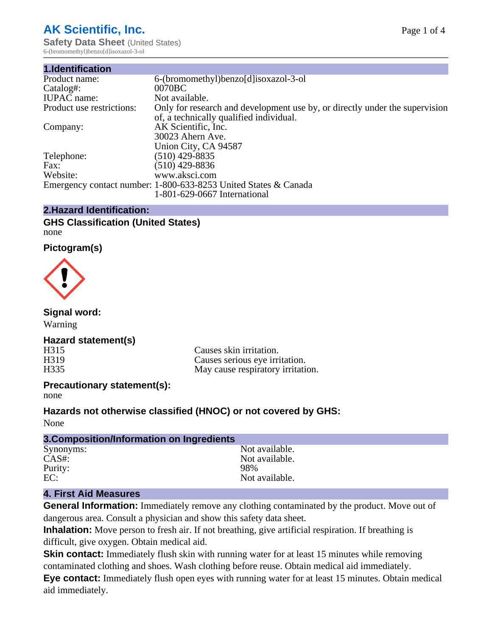# **AK Scientific, Inc.**

**Safety Data Sheet** (United States) 6-(bromomethyl)benzo[d]isoxazol-3-ol

| 1.Identification          |                                                                                                                        |
|---------------------------|------------------------------------------------------------------------------------------------------------------------|
| Product name:             | 6-(bromomethyl)benzo[d]isoxazol-3-ol                                                                                   |
| Catalog#:                 | 0070BC                                                                                                                 |
| <b>IUPAC</b> name:        | Not available.                                                                                                         |
| Product use restrictions: | Only for research and development use by, or directly under the supervision<br>of, a technically qualified individual. |
| Company:                  | AK Scientific, Inc.                                                                                                    |
|                           | 30023 Ahern Ave.                                                                                                       |
|                           | Union City, CA 94587                                                                                                   |
| Telephone:                | $(510)$ 429-8835                                                                                                       |
| Fax:                      | (510) 429-8836                                                                                                         |
| Website:                  | www.aksci.com                                                                                                          |
|                           | Emergency contact number: 1-800-633-8253 United States & Canada                                                        |
|                           | 1-801-629-0667 International                                                                                           |

#### **2.Hazard Identification:**

#### **GHS Classification (United States)** none

# **Pictogram(s)**



# **Signal word:**

Warning

# **Hazard statement(s)**

H315 Causes skin irritation.<br>
H319 Causes serious eve irri H319 Causes serious eye irritation.<br>H335 May cause respiratory irritation. May cause respiratory irritation.

# **Precautionary statement(s):**

none

# **Hazards not otherwise classified (HNOC) or not covered by GHS:**

None

| 3. Composition/Information on Ingredients |                |
|-------------------------------------------|----------------|
| Synonyms:                                 | Not available. |
| $CAS#$ :                                  | Not available. |
| Purity:                                   | 98%            |
| EC:                                       | Not available. |

# **4. First Aid Measures**

**General Information:** Immediately remove any clothing contaminated by the product. Move out of dangerous area. Consult a physician and show this safety data sheet.

**Inhalation:** Move person to fresh air. If not breathing, give artificial respiration. If breathing is difficult, give oxygen. Obtain medical aid.

**Skin contact:** Immediately flush skin with running water for at least 15 minutes while removing contaminated clothing and shoes. Wash clothing before reuse. Obtain medical aid immediately.

**Eye contact:** Immediately flush open eyes with running water for at least 15 minutes. Obtain medical aid immediately.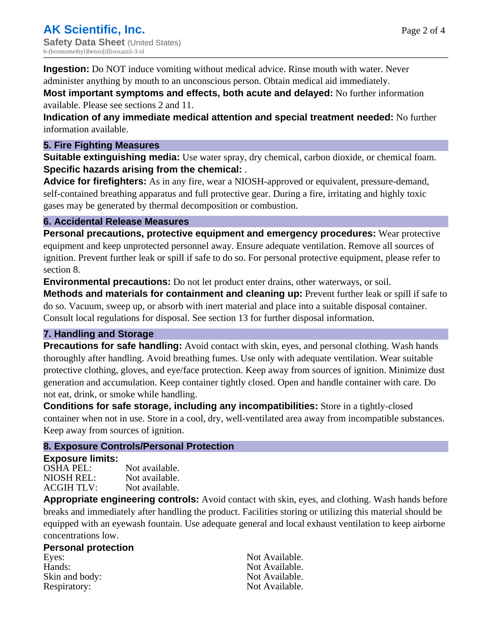Page 2 of 4

**Ingestion:** Do NOT induce vomiting without medical advice. Rinse mouth with water. Never administer anything by mouth to an unconscious person. Obtain medical aid immediately.

**Most important symptoms and effects, both acute and delayed:** No further information available. Please see sections 2 and 11.

**Indication of any immediate medical attention and special treatment needed:** No further information available.

#### **5. Fire Fighting Measures**

**Suitable extinguishing media:** Use water spray, dry chemical, carbon dioxide, or chemical foam. **Specific hazards arising from the chemical:** .

**Advice for firefighters:** As in any fire, wear a NIOSH-approved or equivalent, pressure-demand, self-contained breathing apparatus and full protective gear. During a fire, irritating and highly toxic gases may be generated by thermal decomposition or combustion.

#### **6. Accidental Release Measures**

**Personal precautions, protective equipment and emergency procedures:** Wear protective equipment and keep unprotected personnel away. Ensure adequate ventilation. Remove all sources of ignition. Prevent further leak or spill if safe to do so. For personal protective equipment, please refer to section 8.

**Environmental precautions:** Do not let product enter drains, other waterways, or soil.

**Methods and materials for containment and cleaning up:** Prevent further leak or spill if safe to do so. Vacuum, sweep up, or absorb with inert material and place into a suitable disposal container. Consult local regulations for disposal. See section 13 for further disposal information.

# **7. Handling and Storage**

**Precautions for safe handling:** Avoid contact with skin, eyes, and personal clothing. Wash hands thoroughly after handling. Avoid breathing fumes. Use only with adequate ventilation. Wear suitable protective clothing, gloves, and eye/face protection. Keep away from sources of ignition. Minimize dust generation and accumulation. Keep container tightly closed. Open and handle container with care. Do not eat, drink, or smoke while handling.

**Conditions for safe storage, including any incompatibilities:** Store in a tightly-closed container when not in use. Store in a cool, dry, well-ventilated area away from incompatible substances. Keep away from sources of ignition.

# **8. Exposure Controls/Personal Protection**

#### **Exposure limits:**

| OSHA PEL:  | Not available. |
|------------|----------------|
| NIOSH REL: | Not available. |
| ACGIH TLV: | Not available. |

**Appropriate engineering controls:** Avoid contact with skin, eyes, and clothing. Wash hands before breaks and immediately after handling the product. Facilities storing or utilizing this material should be equipped with an eyewash fountain. Use adequate general and local exhaust ventilation to keep airborne concentrations low.

#### **Personal protection**

Eyes: Not Available. Hands: Not Available. Skin and body: Not Available. Respiratory: Not Available.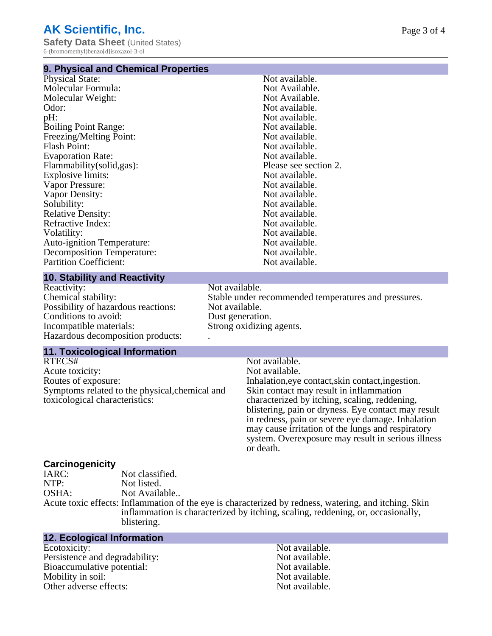#### **9. Physical and Chemical Properties**

| Physical State:                   | Not available.        |
|-----------------------------------|-----------------------|
| Molecular Formula:                | Not Available.        |
| Molecular Weight:                 | Not Available.        |
| Odor:                             | Not available.        |
| pH:                               | Not available.        |
| <b>Boiling Point Range:</b>       | Not available.        |
| Freezing/Melting Point:           | Not available.        |
| <b>Flash Point:</b>               | Not available.        |
| <b>Evaporation Rate:</b>          | Not available.        |
| Flammability (solid, gas):        | Please see section 2. |
| Explosive limits:                 | Not available.        |
| Vapor Pressure:                   | Not available.        |
| Vapor Density:                    | Not available.        |
| Solubility:                       | Not available.        |
| <b>Relative Density:</b>          | Not available.        |
| Refractive Index:                 | Not available.        |
| Volatility:                       | Not available.        |
| <b>Auto-ignition Temperature:</b> | Not available.        |
| <b>Decomposition Temperature:</b> | Not available.        |
| <b>Partition Coefficient:</b>     | Not available.        |
|                                   |                       |

#### **10. Stability and Reactivity**

Reactivity: Not available.<br>Chemical stability: Stable under re Possibility of hazardous reactions: Not available. Conditions to avoid: Dust generation.<br>
Incompatible materials: Strong oxidizing Hazardous decomposition products: .

#### **11. Toxicological Information**

RTECS# Not available.<br>Acute toxicity: Not available.<br>Not available. Acute toxicity:<br>Routes of exposure: Symptoms related to the physical,chemical and toxicological characteristics:

Stable under recommended temperatures and pressures. Strong oxidizing agents.

Inhalation, eye contact, skin contact, ingestion. Skin contact may result in inflammation characterized by itching, scaling, reddening, blistering, pain or dryness. Eye contact may result in redness, pain or severe eye damage. Inhalation may cause irritation of the lungs and respiratory system. Overexposure may result in serious illness or death.

# **Carcinogenicity**

Not classified. NTP: Not listed. OSHA: Not Available.. Acute toxic effects: Inflammation of the eye is characterized by redness, watering, and itching. Skin inflammation is characterized by itching, scaling, reddening, or, occasionally, blistering.

#### **12. Ecological Information**

Ecotoxicity: Not available.<br>
Not available.<br>
Not available.<br>
Not available. Persistence and degradability:<br>
Bioaccumulative potential:<br>
Not available.<br>
Not available. Bioaccumulative potential: Mobility in soil: Not available. Other adverse effects: Not available.